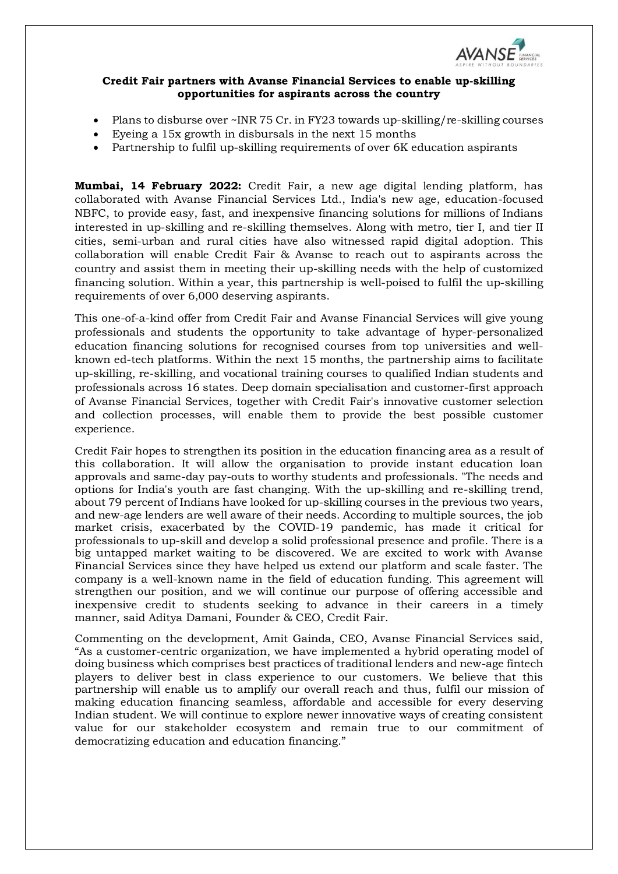

## **Credit Fair partners with Avanse Financial Services to enable up-skilling opportunities for aspirants across the country**

- Plans to disburse over ~INR 75 Cr. in FY23 towards up-skilling/re-skilling courses
- Eyeing a 15x growth in disbursals in the next 15 months
- Partnership to fulfil up-skilling requirements of over 6K education aspirants

**Mumbai, 14 February 2022:** Credit Fair, a new age digital lending platform, has collaborated with Avanse Financial Services Ltd., India's new age, education-focused NBFC, to provide easy, fast, and inexpensive financing solutions for millions of Indians interested in up-skilling and re-skilling themselves. Along with metro, tier I, and tier II cities, semi-urban and rural cities have also witnessed rapid digital adoption. This collaboration will enable Credit Fair & Avanse to reach out to aspirants across the country and assist them in meeting their up-skilling needs with the help of customized financing solution. Within a year, this partnership is well-poised to fulfil the up-skilling requirements of over 6,000 deserving aspirants.

This one-of-a-kind offer from Credit Fair and Avanse Financial Services will give young professionals and students the opportunity to take advantage of hyper-personalized education financing solutions for recognised courses from top universities and wellknown ed-tech platforms. Within the next 15 months, the partnership aims to facilitate up-skilling, re-skilling, and vocational training courses to qualified Indian students and professionals across 16 states. Deep domain specialisation and customer-first approach of Avanse Financial Services, together with Credit Fair's innovative customer selection and collection processes, will enable them to provide the best possible customer experience.

Credit Fair hopes to strengthen its position in the education financing area as a result of this collaboration. It will allow the organisation to provide instant education loan approvals and same-day pay-outs to worthy students and professionals. "The needs and options for India's youth are fast changing. With the up-skilling and re-skilling trend, about 79 percent of Indians have looked for up-skilling courses in the previous two years, and new-age lenders are well aware of their needs. According to multiple sources, the job market crisis, exacerbated by the COVID-19 pandemic, has made it critical for professionals to up-skill and develop a solid professional presence and profile. There is a big untapped market waiting to be discovered. We are excited to work with Avanse Financial Services since they have helped us extend our platform and scale faster. The company is a well-known name in the field of education funding. This agreement will strengthen our position, and we will continue our purpose of offering accessible and inexpensive credit to students seeking to advance in their careers in a timely manner, said Aditya Damani, Founder & CEO, Credit Fair.

Commenting on the development, Amit Gainda, CEO, Avanse Financial Services said, "As a customer-centric organization, we have implemented a hybrid operating model of doing business which comprises best practices of traditional lenders and new-age fintech players to deliver best in class experience to our customers. We believe that this partnership will enable us to amplify our overall reach and thus, fulfil our mission of making education financing seamless, affordable and accessible for every deserving Indian student. We will continue to explore newer innovative ways of creating consistent value for our stakeholder ecosystem and remain true to our commitment of democratizing education and education financing."